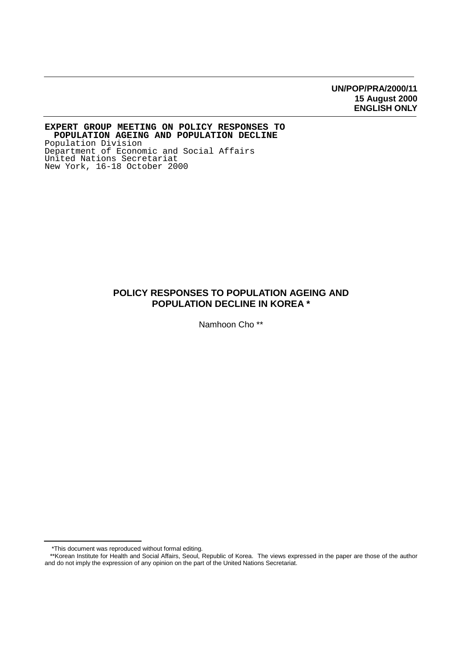# **UN/POP/PRA/2000/11 15 August 2000 ENGLISH ONLY**

**EXPERT GROUP MEETING ON POLICY RESPONSES TO POPULATION AGEING AND POPULATION DECLINE** Population Division Department of Economic and Social Affairs United Nations Secretariat New York, 16-18 October 2000

# **POLICY RESPONSES TO POPULATION AGEING AND POPULATION DECLINE IN KOREA \***

Namhoon Cho \*\*

 <sup>\*</sup>This document was reproduced without formal editing.

 <sup>\*\*</sup>Korean Institute for Health and Social Affairs, Seoul, Republic of Korea. The views expressed in the paper are those of the author and do not imply the expression of any opinion on the part of the United Nations Secretariat.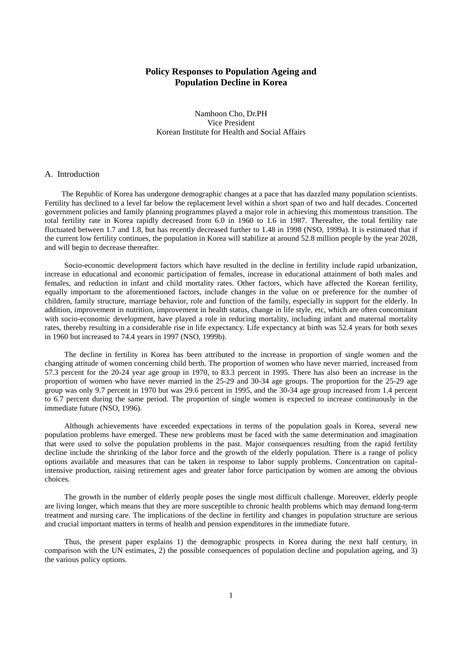# **Policy Responses to Population Ageing and Population Decline in Korea**

Namhoon Cho, Dr.PH Vice President Korean Institute for Health and Social Affairs

### A. Introduction

The Republic of Korea has undergone demographic changes at a pace that has dazzled many population scientists. Fertility has declined to a level far below the replacement level within a short span of two and half decades. Concerted government policies and family planning programmes played a major role in achieving this momentous transition. The total fertility rate in Korea rapidly decreased from 6.0 in 1960 to 1.6 in 1987. Thereafter, the total fertility rate fluctuated between 1.7 and 1.8, but has recently decreased further to 1.48 in 1998 (NSO, 1999a). It is estimated that if the current low fertility continues, the population in Korea will stabilize at around 52.8 million people by the year 2028, and will begin to decrease thereafter.

Socio-economic development factors which have resulted in the decline in fertility include rapid urbanization, increase in educational and economic participation of females, increase in educational attainment of both males and females, and reduction in infant and child mortality rates. Other factors, which have affected the Korean fertility, equally important to the aforementioned factors, include changes in the value on or preference for the number of children, family structure, marriage behavior, role and function of the family, especially in support for the elderly. In addition, improvement in nutrition, improvement in health status, change in life style, etc, which are often concomitant with socio-economic development, have played a role in reducing mortality, including infant and maternal mortality rates, thereby resulting in a considerable rise in life expectancy. Life expectancy at birth was 52.4 years for both sexes in 1960 but increased to 74.4 years in 1997 (NSO, 1999b).

The decline in fertility in Korea has been attributed to the increase in proportion of single women and the changing attitude of women concerning child berth. The proportion of women who have never married, increased from 57.3 percent for the 20-24 year age group in 1970, to 83.3 percent in 1995. There has also been an increase in the proportion of women who have never married in the 25-29 and 30-34 age groups. The proportion for the 25-29 age group was only 9.7 percent in 1970 but was 29.6 percent in 1995, and the 30-34 age group increased from 1.4 percent to 6.7 percent during the same period. The proportion of single women is expected to increase continuously in the immediate future (NSO, 1996).

Although achievements have exceeded expectations in terms of the population goals in Korea, several new population problems have emerged. These new problems must be faced with the same determination and imagination that were used to solve the population problems in the past. Major consequences resulting from the rapid fertility decline include the shrinking of the labor force and the growth of the elderly population. There is a range of policy options available and measures that can be taken in response to labor supply problems. Concentration on capitalintensive production, raising retirement ages and greater labor force participation by women are among the obvious choices.

The growth in the number of elderly people poses the single most difficult challenge. Moreover, elderly people are living longer, which means that they are more susceptible to chronic health problems which may demand long-term treatment and nursing care. The implications of the decline in fertility and changes in population structure are serious and crucial important matters in terms of health and pension expenditures in the immediate future.

Thus, the present paper explains 1) the demographic prospects in Korea during the next half century, in comparison with the UN estimates, 2) the possible consequences of population decline and population ageing, and 3) the various policy options.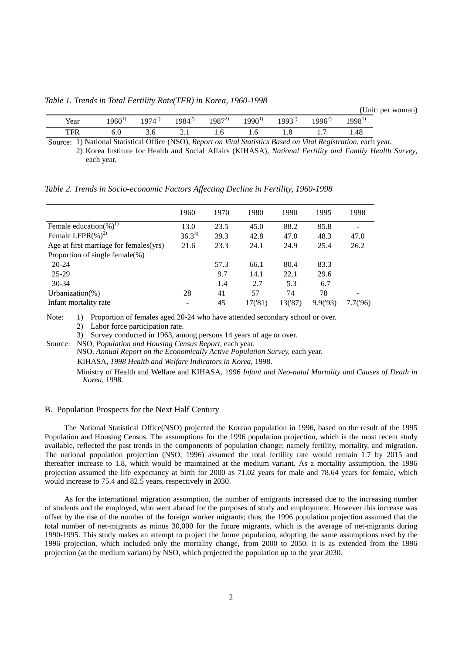*Table 1. Trends in Total Fertility Rate(TFR) in Korea, 1960-1998*

(Unit: per woman)

| - -<br>Year  | 1960 <sup>1</sup> | $1974^{2}$ | $984^{2}$ | $Q(97^{2})$<br>120. | $1990^{\circ}$ | $1002^{2}$ | $996^2$ | 1998 <sup>1</sup> |
|--------------|-------------------|------------|-----------|---------------------|----------------|------------|---------|-------------------|
| TED<br>1 L K | v.v               | J.U        | <u>.</u>  | 1.U                 | 1.0            | 1.0        | . .     | 1.48              |

Source: 1) National Statistical Office (NSO), *Report on Vital Statistics Based on Vital Registration*, each year. 2) Korea Institute for Health and Social Affairs (KIHASA), *National Fertility and Family Health Survey*, each year.

*Table 2. Trends in Socio-economic Factors Affecting Decline in Fertility, 1960-1998*

|                                        | 1960       | 1970 | 1980    | 1990    | 1995    | 1998     |
|----------------------------------------|------------|------|---------|---------|---------|----------|
| Female education(%) <sup>1)</sup>      | 13.0       | 23.5 | 45.0    | 88.2    | 95.8    |          |
| Female LFPR $(\%)^2$                   | $36.3^{3}$ | 39.3 | 42.8    | 47.0    | 48.3    | 47.0     |
| Age at first marriage for females(yrs) | 21.6       | 23.3 | 24.1    | 24.9    | 25.4    | 26.2     |
| Proportion of single female $(\%)$     |            |      |         |         |         |          |
| $20 - 24$                              |            | 57.3 | 66.1    | 80.4    | 83.3    |          |
| 25-29                                  |            | 9.7  | 14.1    | 22.1    | 29.6    |          |
| $30 - 34$                              |            | 1.4  | 2.7     | 5.3     | 6.7     |          |
| Urbanization(%)                        | 28         | 41   | 57      | 74      | 78      |          |
| Infant mortality rate                  | -          | 45   | 17('81) | 13('87) | 9.9(93) | 7.7('96) |

1) Proportion of females aged 20-24 who have attended secondary school or over. 2) Labor force participation rate. Note:

3) Survey conducted in 1963, among persons 14 years of age or over.

Source: NSO, Population and Housing Census Report, each year.

NSO, *Annual Report on the Economically Active Population Survey,* each year.

KIHASA, *1998 Health and Welfare Indicators in Korea,* 1998.

Ministry of Health and Welfare and KIHASA, 1996 *Infant and Neo-natal Mortality and Causes of Death in Korea,* 1998.

## B. Population Prospects for the Next Half Century

The National Statistical Office(NSO) projected the Korean population in 1996, based on the result of the 1995 Population and Housing Census. The assumptions for the 1996 population projection, which is the most recent study available, reflected the past trends in the components of population change; namely fertility, mortality, and migration. The national population projection (NSO, 1996) assumed the total fertility rate would remain 1.7 by 2015 and thereafter increase to 1.8, which would be maintained at the medium variant. As a mortality assumption, the 1996 projection assumed the life expectancy at birth for 2000 as 71.02 years for male and 78.64 years for female, which would increase to 75.4 and 82.5 years, respectively in 2030.

As for the international migration assumption, the number of emigrants increased due to the increasing number of students and the employed, who went abroad for the purposes of study and employment. However this increase was offset by the rise of the number of the foreign worker migrants; thus, the 1996 population projection assumed that the total number of net-migrants as minus 30,000 for the future migrants, which is the average of net-migrants during 1990-1995. This study makes an attempt to project the future population, adopting the same assumptions used by the 1996 projection, which included only the mortality change, from 2000 to 2050. It is as extended from the 1996 projection (at the medium variant) by NSO, which projected the population up to the year 2030.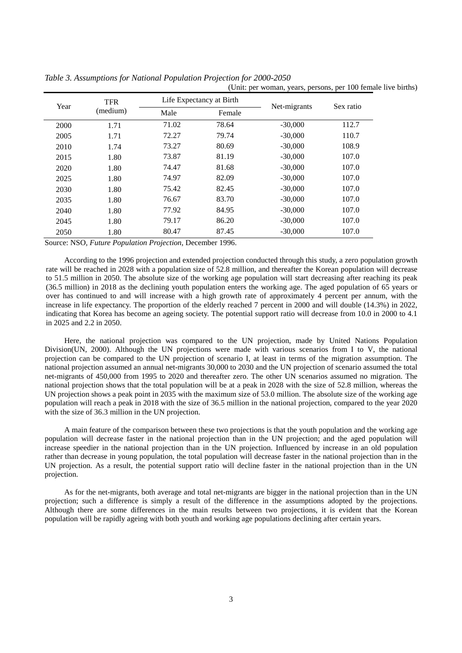|      |            |                          |        | (Unit: per woman, years, persons, per 100 female live births) |           |
|------|------------|--------------------------|--------|---------------------------------------------------------------|-----------|
| Year | <b>TFR</b> | Life Expectancy at Birth |        | Net-migrants                                                  |           |
|      | (medium)   | Male                     | Female |                                                               | Sex ratio |
| 2000 | 1.71       | 71.02                    | 78.64  | $-30,000$                                                     | 112.7     |
| 2005 | 1.71       | 72.27                    | 79.74  | $-30,000$                                                     | 110.7     |
| 2010 | 1.74       | 73.27                    | 80.69  | $-30,000$                                                     | 108.9     |
| 2015 | 1.80       | 73.87                    | 81.19  | $-30,000$                                                     | 107.0     |
| 2020 | 1.80       | 74.47                    | 81.68  | $-30,000$                                                     | 107.0     |
| 2025 | 1.80       | 74.97                    | 82.09  | $-30,000$                                                     | 107.0     |
| 2030 | 1.80       | 75.42                    | 82.45  | $-30,000$                                                     | 107.0     |
| 2035 | 1.80       | 76.67                    | 83.70  | $-30,000$                                                     | 107.0     |
| 2040 | 1.80       | 77.92                    | 84.95  | $-30,000$                                                     | 107.0     |
| 2045 | 1.80       | 79.17                    | 86.20  | $-30,000$                                                     | 107.0     |
| 2050 | 1.80       | 80.47                    | 87.45  | $-30,000$                                                     | 107.0     |

*Table 3. Assumptions for National Population Projection for 2000-2050*

Source: NSO*, Future Population Projection*, December 1996.

According to the 1996 projection and extended projection conducted through this study, a zero population growth rate will be reached in 2028 with a population size of 52.8 million, and thereafter the Korean population will decrease to 51.5 million in 2050. The absolute size of the working age population will start decreasing after reaching its peak (36.5 million) in 2018 as the declining youth population enters the working age. The aged population of 65 years or over has continued to and will increase with a high growth rate of approximately 4 percent per annum, with the increase in life expectancy. The proportion of the elderly reached 7 percent in 2000 and will double (14.3%) in 2022, indicating that Korea has become an ageing society. The potential support ratio will decrease from 10.0 in 2000 to 4.1 in 2025 and 2.2 in 2050.

Here, the national projection was compared to the UN projection, made by United Nations Population Division(UN, 2000). Although the UN projections were made with various scenarios from I to V, the national projection can be compared to the UN projection of scenario I, at least in terms of the migration assumption. The national projection assumed an annual net-migrants 30,000 to 2030 and the UN projection of scenario assumed the total net-migrants of 450,000 from 1995 to 2020 and thereafter zero. The other UN scenarios assumed no migration. The national projection shows that the total population will be at a peak in 2028 with the size of 52.8 million, whereas the UN projection shows a peak point in 2035 with the maximum size of 53.0 million. The absolute size of the working age population will reach a peak in 2018 with the size of 36.5 million in the national projection, compared to the year 2020 with the size of 36.3 million in the UN projection.

A main feature of the comparison between these two projections is that the youth population and the working age population will decrease faster in the national projection than in the UN projection; and the aged population will increase speedier in the national projection than in the UN projection. Influenced by increase in an old population rather than decrease in young population, the total population will decrease faster in the national projection than in the UN projection. As a result, the potential support ratio will decline faster in the national projection than in the UN projection.

As for the net-migrants, both average and total net-migrants are bigger in the national projection than in the UN projection; such a difference is simply a result of the difference in the assumptions adopted by the projections. Although there are some differences in the main results between two projections, it is evident that the Korean population will be rapidly ageing with both youth and working age populations declining after certain years.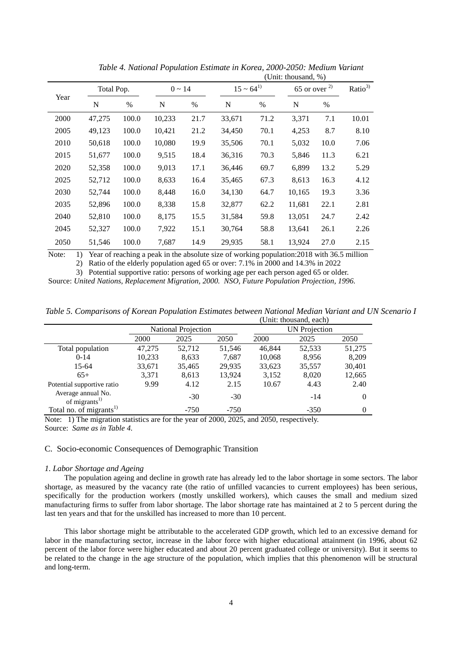|      |        |            |        |             | (Unit: thousand, $\%$ ) |                  |        |                   |       |  |
|------|--------|------------|--------|-------------|-------------------------|------------------|--------|-------------------|-------|--|
|      |        | Total Pop. |        | $0 \sim 14$ |                         | $15 \sim 64^{1}$ |        | $65$ or over $2)$ |       |  |
| Year | N      | %          | N      | $\%$        | N                       | $\%$             | N      | $\%$              |       |  |
| 2000 | 47,275 | 100.0      | 10,233 | 21.7        | 33,671                  | 71.2             | 3,371  | 7.1               | 10.01 |  |
| 2005 | 49,123 | 100.0      | 10,421 | 21.2        | 34,450                  | 70.1             | 4,253  | 8.7               | 8.10  |  |
| 2010 | 50,618 | 100.0      | 10,080 | 19.9        | 35,506                  | 70.1             | 5,032  | 10.0              | 7.06  |  |
| 2015 | 51,677 | 100.0      | 9,515  | 18.4        | 36,316                  | 70.3             | 5,846  | 11.3              | 6.21  |  |
| 2020 | 52,358 | 100.0      | 9,013  | 17.1        | 36,446                  | 69.7             | 6,899  | 13.2              | 5.29  |  |
| 2025 | 52,712 | 100.0      | 8,633  | 16.4        | 35,465                  | 67.3             | 8,613  | 16.3              | 4.12  |  |
| 2030 | 52,744 | 100.0      | 8,448  | 16.0        | 34,130                  | 64.7             | 10,165 | 19.3              | 3.36  |  |
| 2035 | 52,896 | 100.0      | 8,338  | 15.8        | 32,877                  | 62.2             | 11,681 | 22.1              | 2.81  |  |
| 2040 | 52,810 | 100.0      | 8,175  | 15.5        | 31,584                  | 59.8             | 13,051 | 24.7              | 2.42  |  |
| 2045 | 52,327 | 100.0      | 7,922  | 15.1        | 30,764                  | 58.8             | 13,641 | 26.1              | 2.26  |  |
| 2050 | 51,546 | 100.0      | 7,687  | 14.9        | 29,935                  | 58.1             | 13,924 | 27.0              | 2.15  |  |

*Table 4. National Population Estimate in Korea, 2000-2050: Medium Variant*

1) Year of reaching a peak in the absolute size of working population:2018 with 36.5 million Note:

2) Ratio of the elderly population aged 65 or over: 7.1% in 2000 and 14.3% in 2022

3) Potential supportive ratio: persons of working age per each person aged 65 or older. Source: *United Nations, Replacement Migration, 2000. NSO, Future Population Projection, 1996.*

*Table 5. Comparisons of Korean Population Estimates between National Median Variant and UN Scenario I* (Unit: thousand, each)

|                                                 | <b>National Projection</b> |        |        | <b>UN</b> Projection |        |          |  |
|-------------------------------------------------|----------------------------|--------|--------|----------------------|--------|----------|--|
|                                                 | 2000                       | 2025   | 2050   | 2000                 | 2025   | 2050     |  |
| Total population                                | 47,275                     | 52,712 | 51,546 | 46,844               | 52,533 | 51,275   |  |
| $0-14$                                          | 10,233                     | 8,633  | 7,687  | 10,068               | 8.956  | 8,209    |  |
| 15-64                                           | 33,671                     | 35,465 | 29,935 | 33,623               | 35,557 | 30,401   |  |
| $65+$                                           | 3,371                      | 8,613  | 13,924 | 3,152                | 8,020  | 12,665   |  |
| Potential supportive ratio                      | 9.99                       | 4.12   | 2.15   | 10.67                | 4.43   | 2.40     |  |
| Average annual No.<br>of migrants <sup>1)</sup> |                            | $-30$  | $-30$  |                      | $-14$  | $\Omega$ |  |
| Total no. of migrants <sup>1)</sup>             |                            | $-750$ | $-750$ |                      | $-350$ | 0        |  |

Note: 1) The migration statistics are for the year of 2000, 2025, and 2050, respectively. Source: *Same as in Table 4.*

## C. Socio-economic Consequences of Demographic Transition

### *1. Labor Shortage and Ageing*

The population ageing and decline in growth rate has already led to the labor shortage in some sectors. The labor shortage, as measured by the vacancy rate (the ratio of unfilled vacancies to current employees) has been serious, specifically for the production workers (mostly unskilled workers), which causes the small and medium sized manufacturing firms to suffer from labor shortage. The labor shortage rate has maintained at 2 to 5 percent during the last ten years and that for the unskilled has increased to more than 10 percent.

This labor shortage might be attributable to the accelerated GDP growth, which led to an excessive demand for labor in the manufacturing sector, increase in the labor force with higher educational attainment (in 1996, about 62 percent of the labor force were higher educated and about 20 percent graduated college or university). But it seems to be related to the change in the age structure of the population, which implies that this phenomenon will be structural and long-term.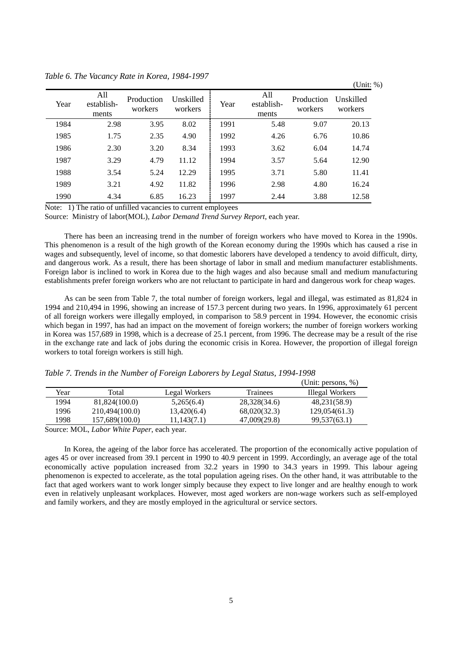|      |                            |                       |                      |      |                            |                       | $\sqrt{ }$           |
|------|----------------------------|-----------------------|----------------------|------|----------------------------|-----------------------|----------------------|
| Year | All<br>establish-<br>ments | Production<br>workers | Unskilled<br>workers | Year | All<br>establish-<br>ments | Production<br>workers | Unskilled<br>workers |
| 1984 | 2.98                       | 3.95                  | 8.02                 | 1991 | 5.48                       | 9.07                  | 20.13                |
| 1985 | 1.75                       | 2.35                  | 4.90                 | 1992 | 4.26                       | 6.76                  | 10.86                |
| 1986 | 2.30                       | 3.20                  | 8.34                 | 1993 | 3.62                       | 6.04                  | 14.74                |
| 1987 | 3.29                       | 4.79                  | 11.12                | 1994 | 3.57                       | 5.64                  | 12.90                |
| 1988 | 3.54                       | 5.24                  | 12.29                | 1995 | 3.71                       | 5.80                  | 11.41                |
| 1989 | 3.21                       | 4.92                  | 11.82                | 1996 | 2.98                       | 4.80                  | 16.24                |
| 1990 | 4.34                       | 6.85                  | 16.23                | 1997 | 2.44                       | 3.88                  | 12.58                |

*Table 6. The Vacancy Rate in Korea, 1984-1997* (Unit: %)

Note: 1) The ratio of unfilled vacancies to current employees

Source: Ministry of labor(MOL)*, Labor Demand Trend Survey Report*, each year.

There has been an increasing trend in the number of foreign workers who have moved to Korea in the 1990s. This phenomenon is a result of the high growth of the Korean economy during the 1990s which has caused a rise in wages and subsequently, level of income, so that domestic laborers have developed a tendency to avoid difficult, dirty, and dangerous work. As a result, there has been shortage of labor in small and medium manufacturer establishments. Foreign labor is inclined to work in Korea due to the high wages and also because small and medium manufacturing establishments prefer foreign workers who are not reluctant to participate in hard and dangerous work for cheap wages.

As can be seen from Table 7, the total number of foreign workers, legal and illegal, was estimated as 81,824 in 1994 and 210,494 in 1996, showing an increase of 157.3 percent during two years. In 1996, approximately 61 percent of all foreign workers were illegally employed, in comparison to 58.9 percent in 1994. However, the economic crisis which began in 1997, has had an impact on the movement of foreign workers; the number of foreign workers working in Korea was 157,689 in 1998, which is a decrease of 25.1 percent, from 1996. The decrease may be a result of the rise in the exchange rate and lack of jobs during the economic crisis in Korea. However, the proportion of illegal foreign workers to total foreign workers is still high.

|      |                |               |              | (Unit: persons, $\%$ ) |
|------|----------------|---------------|--------------|------------------------|
| Year | Total          | Legal Workers | Trainees     | Illegal Workers        |
| 1994 | 81,824(100.0)  | 5,265(6.4)    | 28,328(34.6) | 48,231(58.9)           |
| 1996 | 210,494(100.0) | 13,420(6.4)   | 68,020(32.3) | 129,054(61.3)          |
| 1998 | 157,689(100.0) | 11,143(7.1)   | 47,009(29.8) | 99,537(63.1)           |
|      |                |               |              |                        |

*Table 7. Trends in the Number of Foreign Laborers by Legal Status, 1994-1998*

Source: MOL, *Labor White Paper*, each year*.*

In Korea, the ageing of the labor force has accelerated. The proportion of the economically active population of ages 45 or over increased from 39.1 percent in 1990 to 40.9 percent in 1999. Accordingly, an average age of the total economically active population increased from 32.2 years in 1990 to 34.3 years in 1999. This labour ageing phenomenon is expected to accelerate, as the total population ageing rises. On the other hand, it was attributable to the fact that aged workers want to work longer simply because they expect to live longer and are healthy enough to work even in relatively unpleasant workplaces. However, most aged workers are non-wage workers such as self-employed and family workers, and they are mostly employed in the agricultural or service sectors.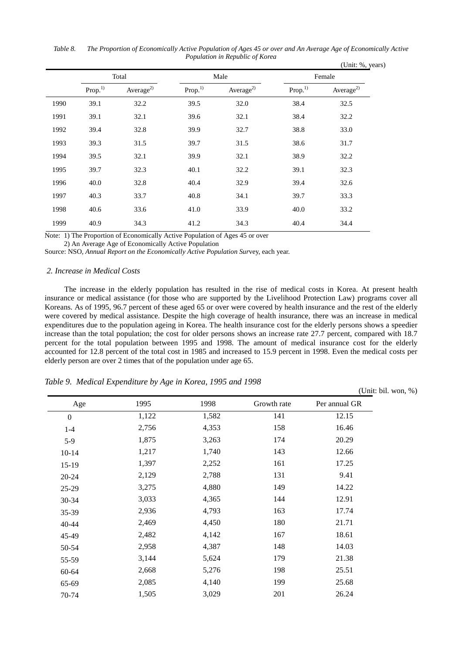(Unit: %, years) Total **Male Male Female** Prop.<sup>1)</sup> Average<sup>2)</sup> Prop.<sup>1)</sup> Average<sup>2)</sup> Prop.<sup>1)</sup> Average<sup>2)</sup> 1990 39.1 32.2 39.5 32.0 38.4 32.5 1991 39.1 32.1 39.6 32.1 38.4 32.2 1992 39.4 32.8 39.9 32.7 38.8 33.0 1993 39.3 31.5 39.7 31.5 38.6 31.7 1994 39.5 32.1 39.9 32.1 38.9 32.2 1995 39.7 32.3 40.1 32.2 39.1 32.3 1996 40.0 32.8 40.4 32.9 39.4 32.6 1997 40.3 33.7 40.8 34.1 39.7 33.3 1998 40.6 33.6 41.0 33.9 40.0 33.2 1999 40.9 34.3 41.2 34.3 40.4 34.4

*Table 8. The Proportion of Economically Active Population of Ages 45 or over and An Average Age of Economically Active Population in Republic of Korea*

Note: 1) The Proportion of Economically Active Population of Ages 45 or over

2) An Average Age of Economically Active Population

Source: NSO*, Annual Report on the Economically Active Population Sur*vey, each year.

### *2. Increase in Medical Costs*

The increase in the elderly population has resulted in the rise of medical costs in Korea. At present health insurance or medical assistance (for those who are supported by the Livelihood Protection Law) programs cover all Koreans. As of 1995, 96.7 percent of these aged 65 or over were covered by health insurance and the rest of the elderly were covered by medical assistance. Despite the high coverage of health insurance, there was an increase in medical expenditures due to the population ageing in Korea. The health insurance cost for the elderly persons shows a speedier increase than the total population; the cost for older persons shows an increase rate 27.7 percent, compared with 18.7 percent for the total population between 1995 and 1998. The amount of medical insurance cost for the elderly accounted for 12.8 percent of the total cost in 1985 and increased to 15.9 percent in 1998. Even the medical costs per elderly person are over 2 times that of the population under age 65.

*Table 9. Medical Expenditure by Age in Korea, 1995 and 1998*

Age 1995 1998 Growth rate Per annual GR  $0 \hspace{1.5cm} 1,122 \hspace{1.5cm} 1,582 \hspace{1.5cm} 141 \hspace{1.5cm} 12.15$ 1-4 2,756 4,353 158 16.46 5-9 1,875 3,263 174 20.29 10-14 1,217 1,740 143 12.66 15-19 1,397 2,252 161 17.25 20-24 2,129 2,788 131 9.41 25-29 3,275 4,880 149 14.22 30-34 3,033 4,365 144 12.91 35-39 2,936 4,793 163 17.74 40-44 2,469 4,450 180 21.71 45-49 2,482 4,142 167 18.61 50-54 2,958 4,387 148 14.03 55-59 3,144 5,624 179 21.38 60-64 2,668 5,276 198 25.51 65-69 2,085 4,140 199 25.68 70-74 1,505 3,029 201 26.24

(Unit: bil. won, %)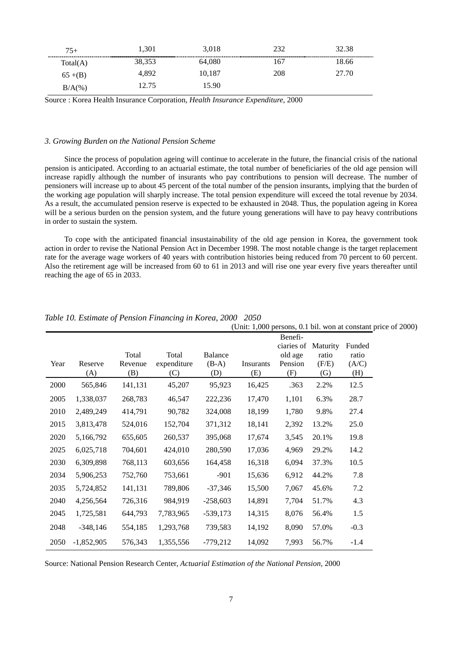| $75+$    | .301   | 3,018  |     | 32.38 |
|----------|--------|--------|-----|-------|
| Total(A) | 38,353 | 64,080 |     | 8.66  |
| $65+(B)$ | 1.892  | 10.187 | 208 | 27.70 |
| $B/A(\%$ | 2.75   | 5.90   |     |       |

Source : Korea Health Insurance Corporation, *Health Insurance Expenditure*, 2000

### *3. Growing Burden on the National Pension Scheme*

Since the process of population ageing will continue to accelerate in the future, the financial crisis of the national pension is anticipated. According to an actuarial estimate, the total number of beneficiaries of the old age pension will increase rapidly although the number of insurants who pay contributions to pension will decrease. The number of pensioners will increase up to about 45 percent of the total number of the pension insurants, implying that the burden of the working age population will sharply increase. The total pension expenditure will exceed the total revenue by 2034. As a result, the accumulated pension reserve is expected to be exhausted in 2048. Thus, the population ageing in Korea will be a serious burden on the pension system, and the future young generations will have to pay heavy contributions in order to sustain the system.

To cope with the anticipated financial insustainability of the old age pension in Korea, the government took action in order to revise the National Pension Act in December 1998. The most notable change is the target replacement rate for the average wage workers of 40 years with contribution histories being reduced from 70 percent to 60 percent. Also the retirement age will be increased from 60 to 61 in 2013 and will rise one year every five years thereafter until reaching the age of 65 in 2033.

|      |              |                  |                      |                           | (Unit: 1,000 persons, 0.1 bil. won at constant price of 2000) |                    |                   |                |
|------|--------------|------------------|----------------------|---------------------------|---------------------------------------------------------------|--------------------|-------------------|----------------|
|      |              |                  |                      |                           |                                                               | Benefi-            |                   |                |
|      |              |                  |                      |                           |                                                               | ciaries of         | Maturity          | Funded         |
| Year | Reserve      | Total<br>Revenue | Total<br>expenditure | <b>Balance</b><br>$(B-A)$ | Insurants                                                     | old age<br>Pension | ratio<br>(F/E)    | ratio<br>(A/C) |
|      | (A)          | (B)              | (C)                  | (D)                       | (E)                                                           | (F)                | $\left( G\right)$ | (H)            |
| 2000 | 565,846      | 141,131          | 45,207               | 95,923                    | 16,425                                                        | .363               | 2.2%              | 12.5           |
| 2005 | 1,338,037    | 268,783          | 46,547               | 222,236                   | 17,470                                                        | 1,101              | 6.3%              | 28.7           |
| 2010 | 2,489,249    | 414,791          | 90,782               | 324,008                   | 18,199                                                        | 1,780              | 9.8%              | 27.4           |
| 2015 | 3,813,478    | 524,016          | 152,704              | 371,312                   | 18,141                                                        | 2,392              | 13.2%             | 25.0           |
| 2020 | 5,166,792    | 655,605          | 260,537              | 395,068                   | 17,674                                                        | 3,545              | 20.1%             | 19.8           |
| 2025 | 6,025,718    | 704,601          | 424,010              | 280,590                   | 17,036                                                        | 4,969              | 29.2%             | 14.2           |
| 2030 | 6,309,898    | 768,113          | 603,656              | 164,458                   | 16,318                                                        | 6,094              | 37.3%             | 10.5           |
| 2034 | 5,906,253    | 752,760          | 753,661              | $-901$                    | 15,636                                                        | 6,912              | 44.2%             | 7.8            |
| 2035 | 5,724,852    | 141,131          | 789,806              | $-37,346$                 | 15,500                                                        | 7,067              | 45.6%             | 7.2            |
| 2040 | 4,256,564    | 726,316          | 984,919              | $-258,603$                | 14,891                                                        | 7,704              | 51.7%             | 4.3            |
| 2045 | 1,725,581    | 644,793          | 7,783,965            | $-539,173$                | 14,315                                                        | 8,076              | 56.4%             | 1.5            |
| 2048 | $-348,146$   | 554,185          | 1,293,768            | 739,583                   | 14,192                                                        | 8,090              | 57.0%             | $-0.3$         |
| 2050 | $-1,852,905$ | 576,343          | 1,355,556            | $-779,212$                | 14,092                                                        | 7,993              | 56.7%             | $-1.4$         |

# *Table 10. Estimate of Pension Financing in Korea, 2000 2050*

Source: National Pension Research Center, *Actuarial Estimation of the National Pension,* 2000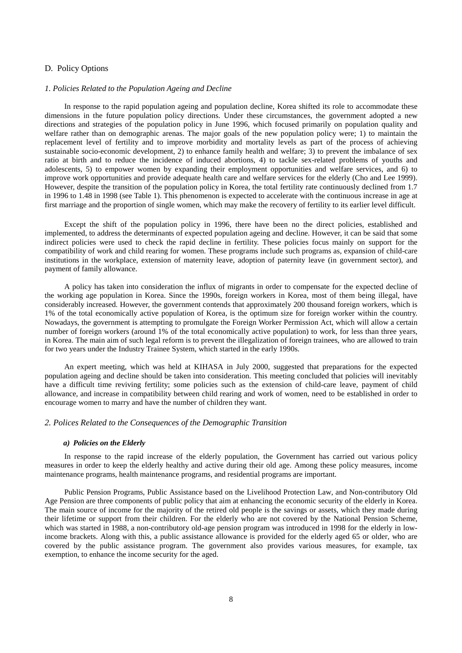## D. Policy Options

### *1. Policies Related to the Population Ageing and Decline*

In response to the rapid population ageing and population decline, Korea shifted its role to accommodate these dimensions in the future population policy directions. Under these circumstances, the government adopted a new directions and strategies of the population policy in June 1996, which focused primarily on population quality and welfare rather than on demographic arenas. The major goals of the new population policy were; 1) to maintain the replacement level of fertility and to improve morbidity and mortality levels as part of the process of achieving sustainable socio-economic development, 2) to enhance family health and welfare; 3) to prevent the imbalance of sex ratio at birth and to reduce the incidence of induced abortions, 4) to tackle sex-related problems of youths and adolescents, 5) to empower women by expanding their employment opportunities and welfare services, and 6) to improve work opportunities and provide adequate health care and welfare services for the elderly (Cho and Lee 1999). However, despite the transition of the population policy in Korea, the total fertility rate continuously declined from 1.7 in 1996 to 1.48 in 1998 (see Table 1). This phenomenon is expected to accelerate with the continuous increase in age at first marriage and the proportion of single women, which may make the recovery of fertility to its earlier level difficult.

Except the shift of the population policy in 1996, there have been no the direct policies, established and implemented, to address the determinants of expected population ageing and decline. However, it can be said that some indirect policies were used to check the rapid decline in fertility. These policies focus mainly on support for the compatibility of work and child rearing for women. These programs include such programs as, expansion of child-care institutions in the workplace, extension of maternity leave, adoption of paternity leave (in government sector), and payment of family allowance.

A policy has taken into consideration the influx of migrants in order to compensate for the expected decline of the working age population in Korea. Since the 1990s, foreign workers in Korea, most of them being illegal, have considerably increased. However, the government contends that approximately 200 thousand foreign workers, which is 1% of the total economically active population of Korea, is the optimum size for foreign worker within the country. Nowadays, the government is attempting to promulgate the Foreign Worker Permission Act, which will allow a certain number of foreign workers (around 1% of the total economically active population) to work, for less than three years, in Korea. The main aim of such legal reform is to prevent the illegalization of foreign trainees, who are allowed to train for two years under the Industry Trainee System, which started in the early 1990s.

An expert meeting, which was held at KIHASA in July 2000, suggested that preparations for the expected population ageing and decline should be taken into consideration. This meeting concluded that policies will inevitably have a difficult time reviving fertility; some policies such as the extension of child-care leave, payment of child allowance, and increase in compatibility between child rearing and work of women, need to be established in order to encourage women to marry and have the number of children they want.

## *2. Polices Related to the Consequences of the Demographic Transition*

### *a) Policies on the Elderly*

In response to the rapid increase of the elderly population, the Government has carried out various policy measures in order to keep the elderly healthy and active during their old age. Among these policy measures, income maintenance programs, health maintenance programs, and residential programs are important.

Public Pension Programs, Public Assistance based on the Livelihood Protection Law, and Non-contributory Old Age Pension are three components of public policy that aim at enhancing the economic security of the elderly in Korea. The main source of income for the majority of the retired old people is the savings or assets, which they made during their lifetime or support from their children. For the elderly who are not covered by the National Pension Scheme, which was started in 1988, a non-contributory old-age pension program was introduced in 1998 for the elderly in lowincome brackets. Along with this, a public assistance allowance is provided for the elderly aged 65 or older, who are covered by the public assistance program. The government also provides various measures, for example, tax exemption, to enhance the income security for the aged.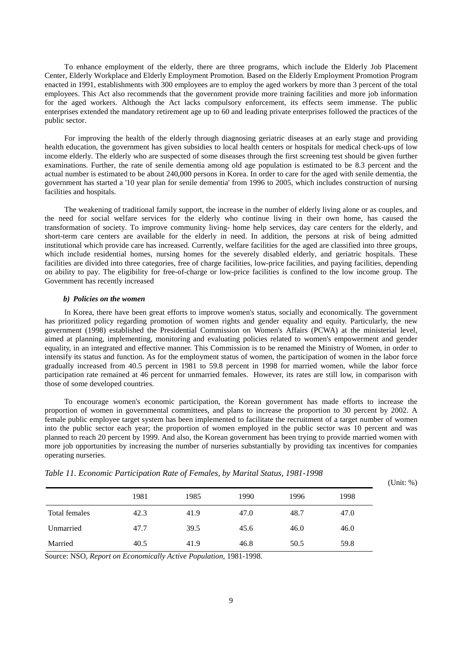To enhance employment of the elderly, there are three programs, which include the Elderly Job Placement Center, Elderly Workplace and Elderly Employment Promotion. Based on the Elderly Employment Promotion Program enacted in 1991, establishments with 300 employees are to employ the aged workers by more than 3 percent of the total employees. This Act also recommends that the government provide more training facilities and more job information for the aged workers. Although the Act lacks compulsory enforcement, its effects seem immense. The public enterprises extended the mandatory retirement age up to 60 and leading private enterprises followed the practices of the public sector.

For improving the health of the elderly through diagnosing geriatric diseases at an early stage and providing health education, the government has given subsidies to local health centers or hospitals for medical check-ups of low income elderly. The elderly who are suspected of some diseases through the first screening test should be given further examinations. Further, the rate of senile dementia among old age population is estimated to be 8.3 percent and the actual number is estimated to be about 240,000 persons in Korea. In order to care for the aged with senile dementia, the government has started a '10 year plan for senile dementia' from 1996 to 2005, which includes construction of nursing facilities and hospitals.

The weakening of traditional family support, the increase in the number of elderly living alone or as couples, and the need for social welfare services for the elderly who continue living in their own home, has caused the transformation of society. To improve community living- home help services, day care centers for the elderly, and short-term care centers are available for the elderly in need. In addition, the persons at risk of being admitted institutional which provide care has increased. Currently, welfare facilities for the aged are classified into three groups, which include residential homes, nursing homes for the severely disabled elderly, and geriatric hospitals. These facilities are divided into three categories, free of charge facilities, low-price facilities, and paying facilities, depending on ability to pay. The eligibility for free-of-charge or low-price facilities is confined to the low income group. The Government has recently increased

#### *b) Policies on the women*

In Korea, there have been great efforts to improve women's status, socially and economically. The government has prioritized policy regarding promotion of women rights and gender equality and equity. Particularly, the new government (1998) established the Presidential Commission on Women's Affairs (PCWA) at the ministerial level, aimed at planning, implementing, monitoring and evaluating policies related to women's empowerment and gender equality, in an integrated and effective manner. This Commission is to be renamed the Ministry of Women, in order to intensify its status and function. As for the employment status of women, the participation of women in the labor force gradually increased from 40.5 percent in 1981 to 59.8 percent in 1998 for married women, while the labor force participation rate remained at 46 percent for unmarried females. However, its rates are still low, in comparison with those of some developed countries.

To encourage women's economic participation, the Korean government has made efforts to increase the proportion of women in governmental committees, and plans to increase the proportion to 30 percent by 2002. A female public employee target system has been implemented to facilitate the recruitment of a target number of women into the public sector each year; the proportion of women employed in the public sector was 10 percent and was planned to reach 20 percent by 1999. And also, the Korean government has been trying to provide married women with more job opportunities by increasing the number of nurseries substantially by providing tax incentives for companies operating nurseries.

|               | 1981 | 1985 | 1990 | 1996 | 1998 |
|---------------|------|------|------|------|------|
| Total females | 42.3 | 41.9 | 47.0 | 48.7 | 47.0 |
| Unmarried     | 47.7 | 39.5 | 45.6 | 46.0 | 46.0 |
| Married       | 40.5 | 41.9 | 46.8 | 50.5 | 59.8 |

*Table 11. Economic Participation Rate of Females, by Marital Status, 1981-1998*

(Unit: %)

Source: NSO, *Report on Economically Active Population*, 1981-1998.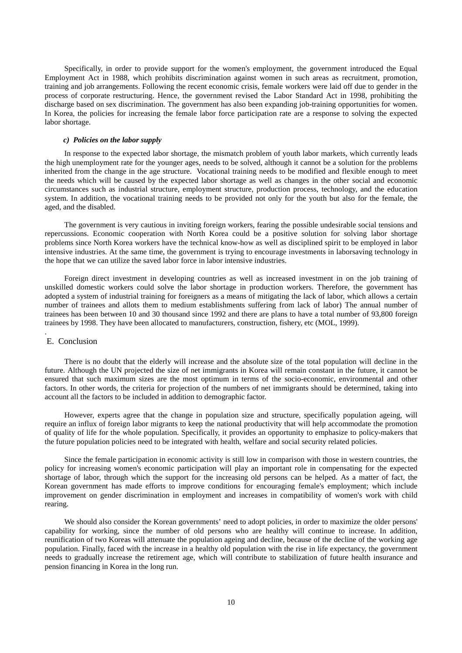Specifically, in order to provide support for the women's employment, the government introduced the Equal Employment Act in 1988, which prohibits discrimination against women in such areas as recruitment, promotion, training and job arrangements. Following the recent economic crisis, female workers were laid off due to gender in the process of corporate restructuring. Hence, the government revised the Labor Standard Act in 1998, prohibiting the discharge based on sex discrimination. The government has also been expanding job-training opportunities for women. In Korea, the policies for increasing the female labor force participation rate are a response to solving the expected labor shortage.

## *c) Policies on the labor supply*

In response to the expected labor shortage, the mismatch problem of youth labor markets, which currently leads the high unemployment rate for the younger ages, needs to be solved, although it cannot be a solution for the problems inherited from the change in the age structure. Vocational training needs to be modified and flexible enough to meet the needs which will be caused by the expected labor shortage as well as changes in the other social and economic circumstances such as industrial structure, employment structure, production process, technology, and the education system. In addition, the vocational training needs to be provided not only for the youth but also for the female, the aged, and the disabled.

The government is very cautious in inviting foreign workers, fearing the possible undesirable social tensions and repercussions. Economic cooperation with North Korea could be a positive solution for solving labor shortage problems since North Korea workers have the technical know-how as well as disciplined spirit to be employed in labor intensive industries. At the same time, the government is trying to encourage investments in laborsaving technology in the hope that we can utilize the saved labor force in labor intensive industries.

Foreign direct investment in developing countries as well as increased investment in on the job training of unskilled domestic workers could solve the labor shortage in production workers. Therefore, the government has adopted a system of industrial training for foreigners as a means of mitigating the lack of labor, which allows a certain number of trainees and allots them to medium establishments suffering from lack of labor) The annual number of trainees has been between 10 and 30 thousand since 1992 and there are plans to have a total number of 93,800 foreign trainees by 1998. They have been allocated to manufacturers, construction, fishery, etc (MOL, 1999).

### E. Conclusion

.

There is no doubt that the elderly will increase and the absolute size of the total population will decline in the future. Although the UN projected the size of net immigrants in Korea will remain constant in the future, it cannot be ensured that such maximum sizes are the most optimum in terms of the socio-economic, environmental and other factors. In other words, the criteria for projection of the numbers of net immigrants should be determined, taking into account all the factors to be included in addition to demographic factor.

However, experts agree that the change in population size and structure, specifically population ageing, will require an influx of foreign labor migrants to keep the national productivity that will help accommodate the promotion of quality of life for the whole population. Specifically, it provides an opportunity to emphasize to policy-makers that the future population policies need to be integrated with health, welfare and social security related policies.

Since the female participation in economic activity is still low in comparison with those in western countries, the policy for increasing women's economic participation will play an important role in compensating for the expected shortage of labor, through which the support for the increasing old persons can be helped. As a matter of fact, the Korean government has made efforts to improve conditions for encouraging female's employment; which include improvement on gender discrimination in employment and increases in compatibility of women's work with child rearing.

We should also consider the Korean governments' need to adopt policies, in order to maximize the older persons' capability for working, since the number of old persons who are healthy will continue to increase. In addition, reunification of two Koreas will attenuate the population ageing and decline, because of the decline of the working age population. Finally, faced with the increase in a healthy old population with the rise in life expectancy, the government needs to gradually increase the retirement age, which will contribute to stabilization of future health insurance and pension financing in Korea in the long run.